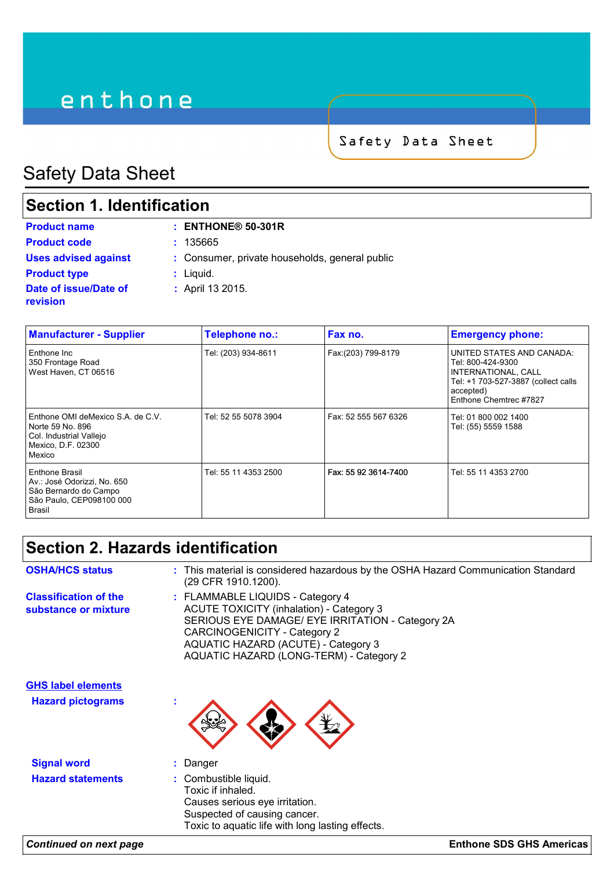# enthone

Safety Data Sheet

## Safety Data Sheet

### **Section 1. Identification**

| <b>Product name</b>               | $:$ ENTHONE® 50-301R                           |
|-----------------------------------|------------------------------------------------|
| <b>Product code</b>               | : 135665                                       |
| <b>Uses advised against</b>       | : Consumer, private households, general public |
| <b>Product type</b>               | $:$ Liquid.                                    |
| Date of issue/Date of<br>revision | : April 13 2015.                               |

| <b>Manufacturer - Supplier</b>                                                                                   | Telephone no.:       | Fax no.              | <b>Emergency phone:</b>                                                                                                                             |
|------------------------------------------------------------------------------------------------------------------|----------------------|----------------------|-----------------------------------------------------------------------------------------------------------------------------------------------------|
| Enthone Inc<br>350 Frontage Road<br>West Haven, CT 06516                                                         | Tel: (203) 934-8611  | Fax:(203) 799-8179   | UNITED STATES AND CANADA:<br>Tel: 800-424-9300<br>INTERNATIONAL, CALL<br>Tel: +1 703-527-3887 (collect calls<br>accepted)<br>Enthone Chemtrec #7827 |
| Enthone OMI deMexico S.A. de C.V.<br>Norte 59 No. 896<br>Col. Industrial Vallejo<br>Mexico, D.F. 02300<br>Mexico | Tel: 52 55 5078 3904 | Fax: 52 555 567 6326 | Tel: 01 800 002 1400<br>Tel: (55) 5559 1588                                                                                                         |
| Enthone Brasil<br>Av.: José Odorizzi, No. 650<br>São Bernardo do Campo<br>São Paulo, CEP098100 000<br>Brasil     | Tel: 55 11 4353 2500 | Fax: 55 92 3614-7400 | Tel: 55 11 4353 2700                                                                                                                                |

### **Section 2. Hazards identification**

| <b>OSHA/HCS status</b>                               | : This material is considered hazardous by the OSHA Hazard Communication Standard<br>(29 CFR 1910.1200).                                                                                                                                                  |
|------------------------------------------------------|-----------------------------------------------------------------------------------------------------------------------------------------------------------------------------------------------------------------------------------------------------------|
| <b>Classification of the</b><br>substance or mixture | : FLAMMABLE LIQUIDS - Category 4<br><b>ACUTE TOXICITY (inhalation) - Category 3</b><br>SERIOUS EYE DAMAGE/ EYE IRRITATION - Category 2A<br>CARCINOGENICITY - Category 2<br>AQUATIC HAZARD (ACUTE) - Category 3<br>AQUATIC HAZARD (LONG-TERM) - Category 2 |
| <b>GHS label elements</b>                            |                                                                                                                                                                                                                                                           |
| <b>Hazard pictograms</b>                             |                                                                                                                                                                                                                                                           |
| <b>Signal word</b>                                   | : Danger                                                                                                                                                                                                                                                  |
| <b>Hazard statements</b>                             | : Combustible liquid.<br>Toxic if inhaled.<br>Causes serious eye irritation.<br>Suspected of causing cancer.<br>Toxic to aquatic life with long lasting effects.                                                                                          |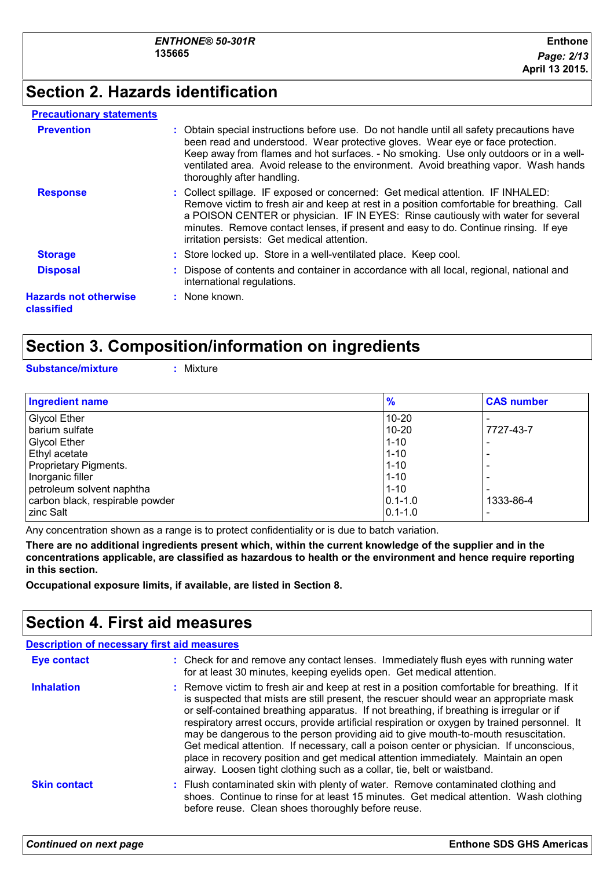### **Section 2. Hazards identification**

#### **Precautionary statements**

| <b>Prevention</b>                          | : Obtain special instructions before use. Do not handle until all safety precautions have<br>been read and understood. Wear protective gloves. Wear eye or face protection.<br>Keep away from flames and hot surfaces. - No smoking. Use only outdoors or in a well-<br>ventilated area. Avoid release to the environment. Avoid breathing vapor. Wash hands<br>thoroughly after handling.              |
|--------------------------------------------|---------------------------------------------------------------------------------------------------------------------------------------------------------------------------------------------------------------------------------------------------------------------------------------------------------------------------------------------------------------------------------------------------------|
| <b>Response</b>                            | : Collect spillage. IF exposed or concerned: Get medical attention. IF INHALED:<br>Remove victim to fresh air and keep at rest in a position comfortable for breathing. Call<br>a POISON CENTER or physician. IF IN EYES: Rinse cautiously with water for several<br>minutes. Remove contact lenses, if present and easy to do. Continue rinsing. If eye<br>irritation persists: Get medical attention. |
| <b>Storage</b>                             | : Store locked up. Store in a well-ventilated place. Keep cool.                                                                                                                                                                                                                                                                                                                                         |
| <b>Disposal</b>                            | : Dispose of contents and container in accordance with all local, regional, national and<br>international regulations.                                                                                                                                                                                                                                                                                  |
| <b>Hazards not otherwise</b><br>classified | : None known.                                                                                                                                                                                                                                                                                                                                                                                           |

### **Section 3. Composition/information on ingredients**

**Substance/mixture :** Mixture

| <b>Ingredient name</b>          | $\frac{9}{6}$ | <b>CAS number</b> |
|---------------------------------|---------------|-------------------|
| <b>Glycol Ether</b>             | $10 - 20$     |                   |
| barium sulfate                  | $10 - 20$     | 7727-43-7         |
| Glycol Ether                    | $1 - 10$      |                   |
| Ethyl acetate                   | $1 - 10$      |                   |
| Proprietary Pigments.           | $1 - 10$      |                   |
| Inorganic filler                | $1 - 10$      |                   |
| petroleum solvent naphtha       | $1 - 10$      |                   |
| carbon black, respirable powder | $ 0.1 - 1.0 $ | 1333-86-4         |
| zinc Salt                       | $ 0.1 - 1.0 $ |                   |

Any concentration shown as a range is to protect confidentiality or is due to batch variation.

**There are no additional ingredients present which, within the current knowledge of the supplier and in the concentrations applicable, are classified as hazardous to health or the environment and hence require reporting in this section.**

**Occupational exposure limits, if available, are listed in Section 8.**

### **Section 4. First aid measures**

| <b>Description of necessary first aid measures</b> |                                                                                                                                                                                                                                                                                                                                                                                                                                                                                                                                                                                                                                                                                                                                      |
|----------------------------------------------------|--------------------------------------------------------------------------------------------------------------------------------------------------------------------------------------------------------------------------------------------------------------------------------------------------------------------------------------------------------------------------------------------------------------------------------------------------------------------------------------------------------------------------------------------------------------------------------------------------------------------------------------------------------------------------------------------------------------------------------------|
| Eye contact                                        | : Check for and remove any contact lenses. Immediately flush eyes with running water<br>for at least 30 minutes, keeping eyelids open. Get medical attention.                                                                                                                                                                                                                                                                                                                                                                                                                                                                                                                                                                        |
| <b>Inhalation</b>                                  | : Remove victim to fresh air and keep at rest in a position comfortable for breathing. If it<br>is suspected that mists are still present, the rescuer should wear an appropriate mask<br>or self-contained breathing apparatus. If not breathing, if breathing is irregular or if<br>respiratory arrest occurs, provide artificial respiration or oxygen by trained personnel. It<br>may be dangerous to the person providing aid to give mouth-to-mouth resuscitation.<br>Get medical attention. If necessary, call a poison center or physician. If unconscious,<br>place in recovery position and get medical attention immediately. Maintain an open<br>airway. Loosen tight clothing such as a collar, tie, belt or waistband. |
| <b>Skin contact</b>                                | : Flush contaminated skin with plenty of water. Remove contaminated clothing and<br>shoes. Continue to rinse for at least 15 minutes. Get medical attention. Wash clothing<br>before reuse. Clean shoes thoroughly before reuse.                                                                                                                                                                                                                                                                                                                                                                                                                                                                                                     |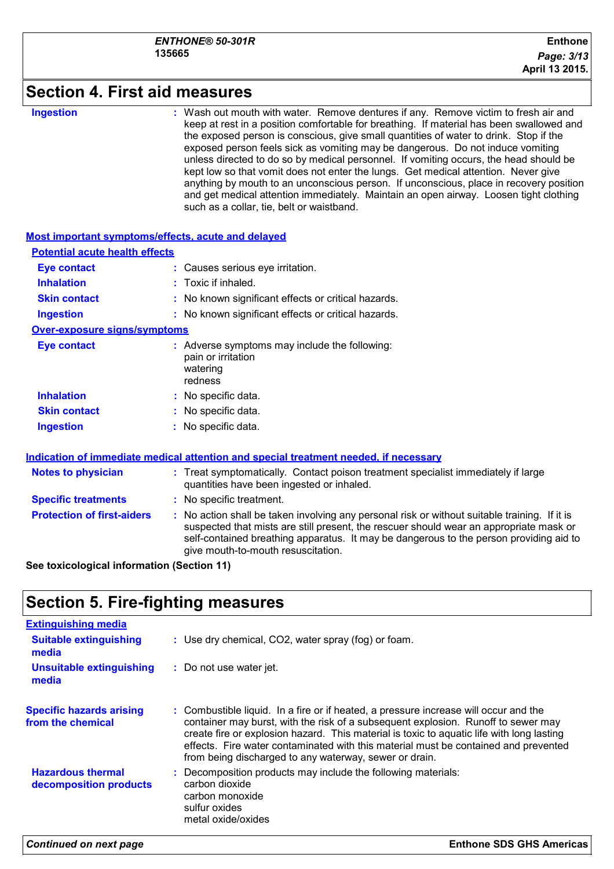### **Section 4. First aid measures**

#### **Ingestion :**

Wash out mouth with water. Remove dentures if any. Remove victim to fresh air and keep at rest in a position comfortable for breathing. If material has been swallowed and the exposed person is conscious, give small quantities of water to drink. Stop if the exposed person feels sick as vomiting may be dangerous. Do not induce vomiting unless directed to do so by medical personnel. If vomiting occurs, the head should be kept low so that vomit does not enter the lungs. Get medical attention. Never give anything by mouth to an unconscious person. If unconscious, place in recovery position and get medical attention immediately. Maintain an open airway. Loosen tight clothing such as a collar, tie, belt or waistband.

| Most important symptoms/effects, acute and delayed                             |                                                                                                                                                                                                                                                                                                                         |
|--------------------------------------------------------------------------------|-------------------------------------------------------------------------------------------------------------------------------------------------------------------------------------------------------------------------------------------------------------------------------------------------------------------------|
| <b>Potential acute health effects</b>                                          |                                                                                                                                                                                                                                                                                                                         |
| <b>Eye contact</b>                                                             | : Causes serious eye irritation.                                                                                                                                                                                                                                                                                        |
| <b>Inhalation</b>                                                              | $:$ Toxic if inhaled.                                                                                                                                                                                                                                                                                                   |
| <b>Skin contact</b>                                                            | : No known significant effects or critical hazards.                                                                                                                                                                                                                                                                     |
| <b>Ingestion</b>                                                               | : No known significant effects or critical hazards.                                                                                                                                                                                                                                                                     |
| <b>Over-exposure signs/symptoms</b>                                            |                                                                                                                                                                                                                                                                                                                         |
| <b>Eye contact</b>                                                             | : Adverse symptoms may include the following:<br>pain or irritation<br>watering<br>redness                                                                                                                                                                                                                              |
| <b>Inhalation</b>                                                              | : No specific data.                                                                                                                                                                                                                                                                                                     |
| <b>Skin contact</b>                                                            | : No specific data.                                                                                                                                                                                                                                                                                                     |
| <b>Ingestion</b>                                                               | : No specific data.                                                                                                                                                                                                                                                                                                     |
|                                                                                | Indication of immediate medical attention and special treatment needed, if necessary                                                                                                                                                                                                                                    |
| <b>Notes to physician</b>                                                      | : Treat symptomatically. Contact poison treatment specialist immediately if large<br>quantities have been ingested or inhaled.                                                                                                                                                                                          |
| <b>Specific treatments</b>                                                     | : No specific treatment.                                                                                                                                                                                                                                                                                                |
| <b>Protection of first-aiders</b><br>Can taulanlaning Lufaunation (Cantian 44) | : No action shall be taken involving any personal risk or without suitable training. If it is<br>suspected that mists are still present, the rescuer should wear an appropriate mask or<br>self-contained breathing apparatus. It may be dangerous to the person providing aid to<br>give mouth-to-mouth resuscitation. |

**See toxicological information (Section 11)**

### **Section 5. Fire-fighting measures**

| <b>Extinguishing media</b>                           |                                                                                                                                                                                                                                                                                                                                                                                                                         |
|------------------------------------------------------|-------------------------------------------------------------------------------------------------------------------------------------------------------------------------------------------------------------------------------------------------------------------------------------------------------------------------------------------------------------------------------------------------------------------------|
| <b>Suitable extinguishing</b><br>media               | : Use dry chemical, CO2, water spray (fog) or foam.                                                                                                                                                                                                                                                                                                                                                                     |
| <b>Unsuitable extinguishing</b><br>media             | : Do not use water jet.                                                                                                                                                                                                                                                                                                                                                                                                 |
| <b>Specific hazards arising</b><br>from the chemical | : Combustible liquid. In a fire or if heated, a pressure increase will occur and the<br>container may burst, with the risk of a subsequent explosion. Runoff to sewer may<br>create fire or explosion hazard. This material is toxic to aquatic life with long lasting<br>effects. Fire water contaminated with this material must be contained and prevented<br>from being discharged to any waterway, sewer or drain. |
| <b>Hazardous thermal</b><br>decomposition products   | : Decomposition products may include the following materials:<br>carbon dioxide<br>carbon monoxide<br>sulfur oxides<br>metal oxide/oxides                                                                                                                                                                                                                                                                               |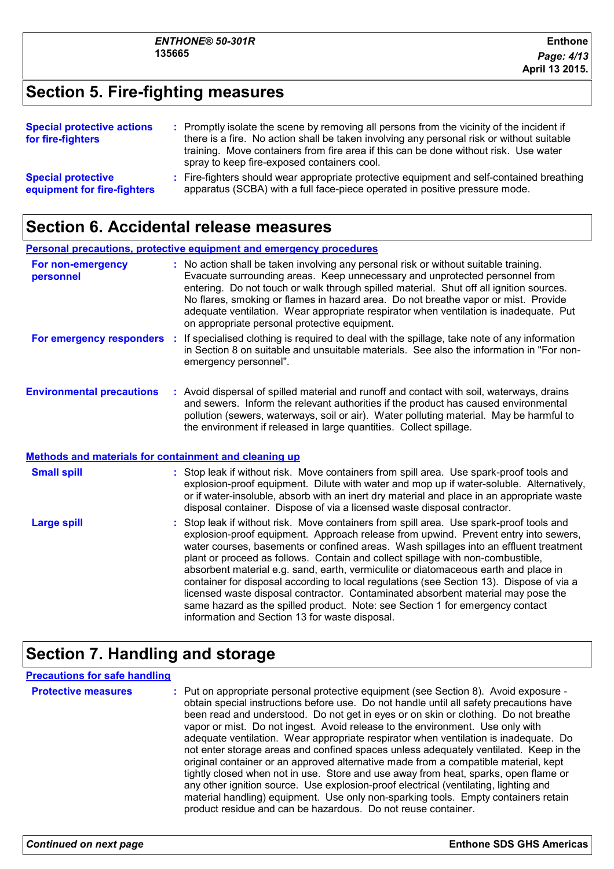### **Section 5. Fire-fighting measures**

| <b>Special protective actions</b><br>for fire-fighters   | : Promptly isolate the scene by removing all persons from the vicinity of the incident if<br>there is a fire. No action shall be taken involving any personal risk or without suitable<br>training. Move containers from fire area if this can be done without risk. Use water<br>spray to keep fire-exposed containers cool. |
|----------------------------------------------------------|-------------------------------------------------------------------------------------------------------------------------------------------------------------------------------------------------------------------------------------------------------------------------------------------------------------------------------|
| <b>Special protective</b><br>equipment for fire-fighters | : Fire-fighters should wear appropriate protective equipment and self-contained breathing<br>apparatus (SCBA) with a full face-piece operated in positive pressure mode.                                                                                                                                                      |

### **Section 6. Accidental release measures**

|                                                                                              | <b>Personal precautions, protective equipment and emergency procedures</b>                                                                                                                                                                                                                                                                                                                                                                                                                     |
|----------------------------------------------------------------------------------------------|------------------------------------------------------------------------------------------------------------------------------------------------------------------------------------------------------------------------------------------------------------------------------------------------------------------------------------------------------------------------------------------------------------------------------------------------------------------------------------------------|
| For non-emergency<br>personnel                                                               | : No action shall be taken involving any personal risk or without suitable training.<br>Evacuate surrounding areas. Keep unnecessary and unprotected personnel from<br>entering. Do not touch or walk through spilled material. Shut off all ignition sources.<br>No flares, smoking or flames in hazard area. Do not breathe vapor or mist. Provide<br>adequate ventilation. Wear appropriate respirator when ventilation is inadequate. Put<br>on appropriate personal protective equipment. |
| For emergency responders :                                                                   | If specialised clothing is required to deal with the spillage, take note of any information<br>in Section 8 on suitable and unsuitable materials. See also the information in "For non-<br>emergency personnel".                                                                                                                                                                                                                                                                               |
| <b>Environmental precautions</b>                                                             | : Avoid dispersal of spilled material and runoff and contact with soil, waterways, drains<br>and sewers. Inform the relevant authorities if the product has caused environmental<br>pollution (sewers, waterways, soil or air). Water polluting material. May be harmful to<br>the environment if released in large quantities. Collect spillage.                                                                                                                                              |
| Bill a dia tanàna ao amin'ny faritr'i Normandie, ao Frantsa. Ao amin'ny fivondronan-kaominin |                                                                                                                                                                                                                                                                                                                                                                                                                                                                                                |

#### **Methods and materials for containment and cleaning up**

| <b>Small spill</b> | : Stop leak if without risk. Move containers from spill area. Use spark-proof tools and<br>explosion-proof equipment. Dilute with water and mop up if water-soluble. Alternatively,<br>or if water-insoluble, absorb with an inert dry material and place in an appropriate waste<br>disposal container. Dispose of via a licensed waste disposal contractor.                                                                                                                                                                                                                                                                                                                                                                                                        |
|--------------------|----------------------------------------------------------------------------------------------------------------------------------------------------------------------------------------------------------------------------------------------------------------------------------------------------------------------------------------------------------------------------------------------------------------------------------------------------------------------------------------------------------------------------------------------------------------------------------------------------------------------------------------------------------------------------------------------------------------------------------------------------------------------|
| <b>Large spill</b> | : Stop leak if without risk. Move containers from spill area. Use spark-proof tools and<br>explosion-proof equipment. Approach release from upwind. Prevent entry into sewers,<br>water courses, basements or confined areas. Wash spillages into an effluent treatment<br>plant or proceed as follows. Contain and collect spillage with non-combustible,<br>absorbent material e.g. sand, earth, vermiculite or diatomaceous earth and place in<br>container for disposal according to local regulations (see Section 13). Dispose of via a<br>licensed waste disposal contractor. Contaminated absorbent material may pose the<br>same hazard as the spilled product. Note: see Section 1 for emergency contact<br>information and Section 13 for waste disposal. |

### **Section 7. Handling and storage**

#### **Precautions for safe handling**

**Protective measures** : Put on appropriate personal protective equipment (see Section 8). Avoid exposure obtain special instructions before use. Do not handle until all safety precautions have been read and understood. Do not get in eyes or on skin or clothing. Do not breathe vapor or mist. Do not ingest. Avoid release to the environment. Use only with adequate ventilation. Wear appropriate respirator when ventilation is inadequate. Do not enter storage areas and confined spaces unless adequately ventilated. Keep in the original container or an approved alternative made from a compatible material, kept tightly closed when not in use. Store and use away from heat, sparks, open flame or any other ignition source. Use explosion-proof electrical (ventilating, lighting and material handling) equipment. Use only non-sparking tools. Empty containers retain product residue and can be hazardous. Do not reuse container.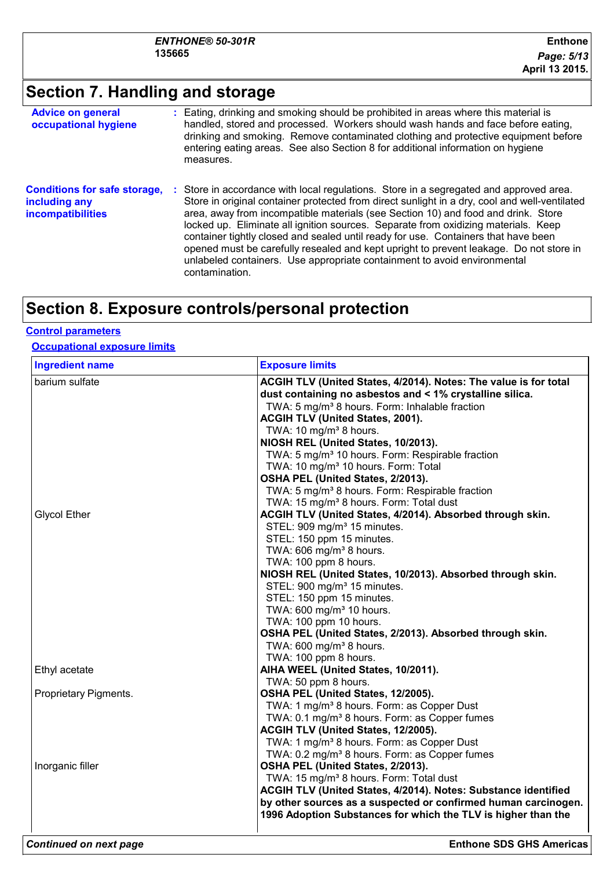### **Section 7. Handling and storage**

| <b>Advice on general</b><br>occupational hygiene                                 | : Eating, drinking and smoking should be prohibited in areas where this material is<br>handled, stored and processed. Workers should wash hands and face before eating,<br>drinking and smoking. Remove contaminated clothing and protective equipment before<br>entering eating areas. See also Section 8 for additional information on hygiene<br>measures.                                                                                                                                                                                                                                                                                        |
|----------------------------------------------------------------------------------|------------------------------------------------------------------------------------------------------------------------------------------------------------------------------------------------------------------------------------------------------------------------------------------------------------------------------------------------------------------------------------------------------------------------------------------------------------------------------------------------------------------------------------------------------------------------------------------------------------------------------------------------------|
| <b>Conditions for safe storage,</b><br>including any<br><b>incompatibilities</b> | Store in accordance with local regulations. Store in a segregated and approved area.<br>÷.<br>Store in original container protected from direct sunlight in a dry, cool and well-ventilated<br>area, away from incompatible materials (see Section 10) and food and drink. Store<br>locked up. Eliminate all ignition sources. Separate from oxidizing materials. Keep<br>container tightly closed and sealed until ready for use. Containers that have been<br>opened must be carefully resealed and kept upright to prevent leakage. Do not store in<br>unlabeled containers. Use appropriate containment to avoid environmental<br>contamination. |

### **Section 8. Exposure controls/personal protection**

#### **Control parameters**

#### **Occupational exposure limits**

| <b>Ingredient name</b> | <b>Exposure limits</b>                                           |
|------------------------|------------------------------------------------------------------|
| barium sulfate         | ACGIH TLV (United States, 4/2014). Notes: The value is for total |
|                        | dust containing no asbestos and < 1% crystalline silica.         |
|                        | TWA: 5 mg/m <sup>3</sup> 8 hours. Form: Inhalable fraction       |
|                        | ACGIH TLV (United States, 2001).                                 |
|                        | TWA: 10 mg/m <sup>3</sup> 8 hours.                               |
|                        | NIOSH REL (United States, 10/2013).                              |
|                        | TWA: 5 mg/m <sup>3</sup> 10 hours. Form: Respirable fraction     |
|                        | TWA: 10 mg/m <sup>3</sup> 10 hours. Form: Total                  |
|                        | OSHA PEL (United States, 2/2013).                                |
|                        | TWA: 5 mg/m <sup>3</sup> 8 hours. Form: Respirable fraction      |
|                        | TWA: 15 mg/m <sup>3</sup> 8 hours. Form: Total dust              |
| <b>Glycol Ether</b>    | ACGIH TLV (United States, 4/2014). Absorbed through skin.        |
|                        | STEL: 909 mg/m <sup>3</sup> 15 minutes.                          |
|                        | STEL: 150 ppm 15 minutes.                                        |
|                        | TWA: 606 mg/m <sup>3</sup> 8 hours.                              |
|                        | TWA: 100 ppm 8 hours.                                            |
|                        | NIOSH REL (United States, 10/2013). Absorbed through skin.       |
|                        | STEL: 900 mg/m <sup>3</sup> 15 minutes.                          |
|                        | STEL: 150 ppm 15 minutes.                                        |
|                        | TWA: 600 mg/m <sup>3</sup> 10 hours.                             |
|                        | TWA: 100 ppm 10 hours.                                           |
|                        | OSHA PEL (United States, 2/2013). Absorbed through skin.         |
|                        | TWA: $600 \text{ mg/m}^3$ 8 hours.                               |
|                        | TWA: 100 ppm 8 hours.                                            |
| Ethyl acetate          | AIHA WEEL (United States, 10/2011).                              |
|                        | TWA: 50 ppm 8 hours.                                             |
| Proprietary Pigments.  | OSHA PEL (United States, 12/2005).                               |
|                        | TWA: 1 mg/m <sup>3</sup> 8 hours. Form: as Copper Dust           |
|                        | TWA: 0.1 mg/m <sup>3</sup> 8 hours. Form: as Copper fumes        |
|                        | ACGIH TLV (United States, 12/2005).                              |
|                        | TWA: 1 mg/m <sup>3</sup> 8 hours. Form: as Copper Dust           |
|                        | TWA: 0.2 mg/m <sup>3</sup> 8 hours. Form: as Copper fumes        |
| Inorganic filler       | OSHA PEL (United States, 2/2013).                                |
|                        | TWA: 15 mg/m <sup>3</sup> 8 hours. Form: Total dust              |
|                        | ACGIH TLV (United States, 4/2014). Notes: Substance identified   |
|                        | by other sources as a suspected or confirmed human carcinogen.   |
|                        | 1996 Adoption Substances for which the TLV is higher than the    |
|                        |                                                                  |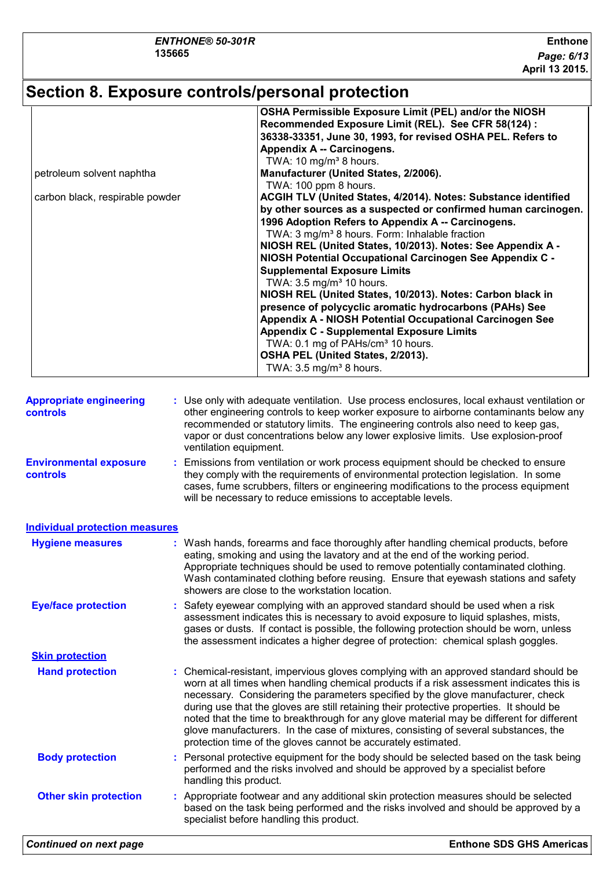### **Section 8. Exposure controls/personal protection**

| petroleum solvent naphtha<br>carbon black, respirable powder |  | OSHA Permissible Exposure Limit (PEL) and/or the NIOSH<br>Recommended Exposure Limit (REL). See CFR 58(124) :<br>36338-33351, June 30, 1993, for revised OSHA PEL. Refers to<br><b>Appendix A -- Carcinogens.</b><br>TWA: 10 mg/m <sup>3</sup> 8 hours.<br>Manufacturer (United States, 2/2006).<br>TWA: 100 ppm 8 hours.<br>ACGIH TLV (United States, 4/2014). Notes: Substance identified<br>by other sources as a suspected or confirmed human carcinogen.<br>1996 Adoption Refers to Appendix A -- Carcinogens.<br>TWA: 3 mg/m <sup>3</sup> 8 hours. Form: Inhalable fraction<br>NIOSH REL (United States, 10/2013). Notes: See Appendix A -<br>NIOSH Potential Occupational Carcinogen See Appendix C -<br><b>Supplemental Exposure Limits</b><br>TWA: 3.5 mg/m <sup>3</sup> 10 hours.<br>NIOSH REL (United States, 10/2013). Notes: Carbon black in<br>presence of polycyclic aromatic hydrocarbons (PAHs) See<br>Appendix A - NIOSH Potential Occupational Carcinogen See<br><b>Appendix C - Supplemental Exposure Limits</b><br>TWA: 0.1 mg of PAHs/cm <sup>3</sup> 10 hours.<br>OSHA PEL (United States, 2/2013).<br>TWA: 3.5 mg/m <sup>3</sup> 8 hours. |  |  |
|--------------------------------------------------------------|--|-------------------------------------------------------------------------------------------------------------------------------------------------------------------------------------------------------------------------------------------------------------------------------------------------------------------------------------------------------------------------------------------------------------------------------------------------------------------------------------------------------------------------------------------------------------------------------------------------------------------------------------------------------------------------------------------------------------------------------------------------------------------------------------------------------------------------------------------------------------------------------------------------------------------------------------------------------------------------------------------------------------------------------------------------------------------------------------------------------------------------------------------------------------------|--|--|
| <b>Appropriate engineering</b><br>controls                   |  | : Use only with adequate ventilation. Use process enclosures, local exhaust ventilation or<br>other engineering controls to keep worker exposure to airborne contaminants below any                                                                                                                                                                                                                                                                                                                                                                                                                                                                                                                                                                                                                                                                                                                                                                                                                                                                                                                                                                               |  |  |
|                                                              |  | recommended or statutory limits. The engineering controls also need to keep gas,<br>vapor or dust concentrations below any lower explosive limits. Use explosion-proof<br>ventilation equipment.                                                                                                                                                                                                                                                                                                                                                                                                                                                                                                                                                                                                                                                                                                                                                                                                                                                                                                                                                                  |  |  |
| <b>Environmental exposure</b><br>controls                    |  | : Emissions from ventilation or work process equipment should be checked to ensure<br>they comply with the requirements of environmental protection legislation. In some<br>cases, fume scrubbers, filters or engineering modifications to the process equipment<br>will be necessary to reduce emissions to acceptable levels.                                                                                                                                                                                                                                                                                                                                                                                                                                                                                                                                                                                                                                                                                                                                                                                                                                   |  |  |
| <b>Individual protection measures</b>                        |  |                                                                                                                                                                                                                                                                                                                                                                                                                                                                                                                                                                                                                                                                                                                                                                                                                                                                                                                                                                                                                                                                                                                                                                   |  |  |
| <b>Hygiene measures</b>                                      |  | : Wash hands, forearms and face thoroughly after handling chemical products, before<br>eating, smoking and using the lavatory and at the end of the working period.<br>Appropriate techniques should be used to remove potentially contaminated clothing.<br>Wash contaminated clothing before reusing. Ensure that eyewash stations and safety<br>showers are close to the workstation location.                                                                                                                                                                                                                                                                                                                                                                                                                                                                                                                                                                                                                                                                                                                                                                 |  |  |
| <b>Eye/face protection</b>                                   |  | : Safety eyewear complying with an approved standard should be used when a risk<br>assessment indicates this is necessary to avoid exposure to liquid splashes, mists,<br>gases or dusts. If contact is possible, the following protection should be worn, unless<br>the assessment indicates a higher degree of protection: chemical splash goggles.                                                                                                                                                                                                                                                                                                                                                                                                                                                                                                                                                                                                                                                                                                                                                                                                             |  |  |
| <b>Skin protection</b>                                       |  |                                                                                                                                                                                                                                                                                                                                                                                                                                                                                                                                                                                                                                                                                                                                                                                                                                                                                                                                                                                                                                                                                                                                                                   |  |  |
| <b>Hand protection</b>                                       |  | : Chemical-resistant, impervious gloves complying with an approved standard should be<br>worn at all times when handling chemical products if a risk assessment indicates this is<br>necessary. Considering the parameters specified by the glove manufacturer, check<br>during use that the gloves are still retaining their protective properties. It should be<br>noted that the time to breakthrough for any glove material may be different for different<br>glove manufacturers. In the case of mixtures, consisting of several substances, the<br>protection time of the gloves cannot be accurately estimated.                                                                                                                                                                                                                                                                                                                                                                                                                                                                                                                                            |  |  |
| <b>Body protection</b>                                       |  | : Personal protective equipment for the body should be selected based on the task being<br>performed and the risks involved and should be approved by a specialist before<br>handling this product.                                                                                                                                                                                                                                                                                                                                                                                                                                                                                                                                                                                                                                                                                                                                                                                                                                                                                                                                                               |  |  |
| <b>Other skin protection</b>                                 |  | : Appropriate footwear and any additional skin protection measures should be selected<br>based on the task being performed and the risks involved and should be approved by a                                                                                                                                                                                                                                                                                                                                                                                                                                                                                                                                                                                                                                                                                                                                                                                                                                                                                                                                                                                     |  |  |

specialist before handling this product.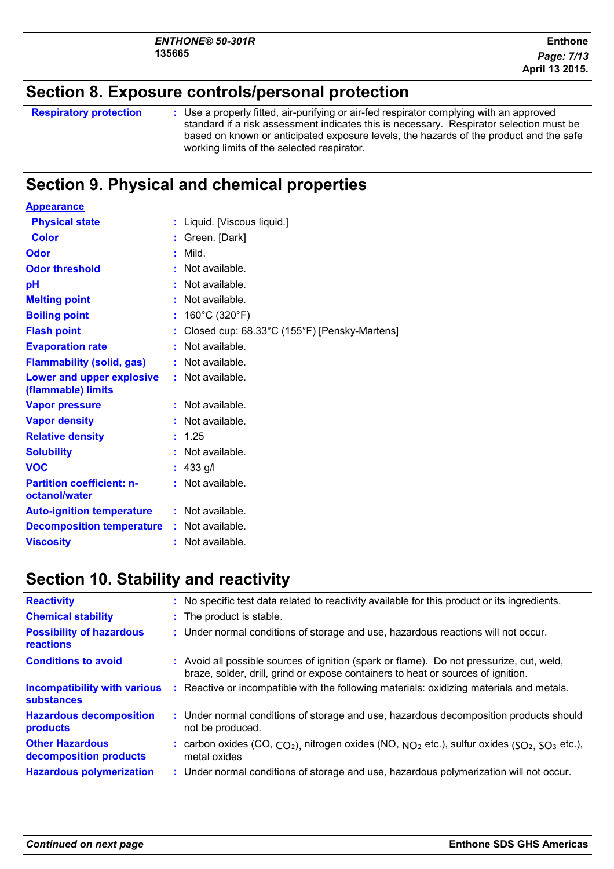### **Section 8. Exposure controls/personal protection**

```
Respiratory protection :
```
Use a properly fitted, air-purifying or air-fed respirator complying with an approved standard if a risk assessment indicates this is necessary. Respirator selection must be based on known or anticipated exposure levels, the hazards of the product and the safe working limits of the selected respirator.

### **Section 9. Physical and chemical properties**

| <b>Appearance</b>                                      |                                                   |  |
|--------------------------------------------------------|---------------------------------------------------|--|
| <b>Physical state</b>                                  | : Liquid. [Viscous liquid.]                       |  |
| <b>Color</b>                                           | Green. [Dark]                                     |  |
| Odor                                                   | Mild.                                             |  |
| <b>Odor threshold</b>                                  | Not available.                                    |  |
| рH                                                     | Not available.                                    |  |
| <b>Melting point</b>                                   | Not available.                                    |  |
| <b>Boiling point</b>                                   | 160°C (320°F)                                     |  |
| <b>Flash point</b>                                     | Closed cup: 68.33°C (155°F) [Pensky-Martens]<br>÷ |  |
| <b>Evaporation rate</b>                                | Not available.                                    |  |
| <b>Flammability (solid, gas)</b>                       | Not available.                                    |  |
| <b>Lower and upper explosive</b><br>(flammable) limits | : Not available.                                  |  |
| <b>Vapor pressure</b>                                  | Not available.<br>t.                              |  |
| <b>Vapor density</b>                                   | Not available.                                    |  |
| <b>Relative density</b>                                | 1.25                                              |  |
| <b>Solubility</b>                                      | Not available.<br>÷.                              |  |
| <b>VOC</b>                                             | 433 g/l                                           |  |
| <b>Partition coefficient: n-</b><br>octanol/water      | Not available.                                    |  |
| <b>Auto-ignition temperature</b>                       | : Not available.                                  |  |
| <b>Decomposition temperature</b>                       | : Not available.                                  |  |
| <b>Viscosity</b>                                       | Not available.                                    |  |
|                                                        |                                                   |  |

### **Section 10. Stability and reactivity**

| <b>Reactivity</b>                                        |    | : No specific test data related to reactivity available for this product or its ingredients.                                                                                 |
|----------------------------------------------------------|----|------------------------------------------------------------------------------------------------------------------------------------------------------------------------------|
| <b>Chemical stability</b>                                |    | : The product is stable.                                                                                                                                                     |
| <b>Possibility of hazardous</b><br>reactions             |    | : Under normal conditions of storage and use, hazardous reactions will not occur.                                                                                            |
| <b>Conditions to avoid</b>                               |    | : Avoid all possible sources of ignition (spark or flame). Do not pressurize, cut, weld,<br>braze, solder, drill, grind or expose containers to heat or sources of ignition. |
| <b>Incompatibility with various</b><br><b>substances</b> | ÷. | Reactive or incompatible with the following materials: oxidizing materials and metals.                                                                                       |
| <b>Hazardous decomposition</b><br>products               |    | : Under normal conditions of storage and use, hazardous decomposition products should<br>not be produced.                                                                    |
| <b>Other Hazardous</b><br>decomposition products         |    | : carbon oxides $(CO, CO2)$ , nitrogen oxides (NO, $NO2$ etc.), sulfur oxides (SO <sub>2</sub> , SO <sub>3</sub> etc.),<br>metal oxides                                      |
| <b>Hazardous polymerization</b>                          |    | : Under normal conditions of storage and use, hazardous polymerization will not occur.                                                                                       |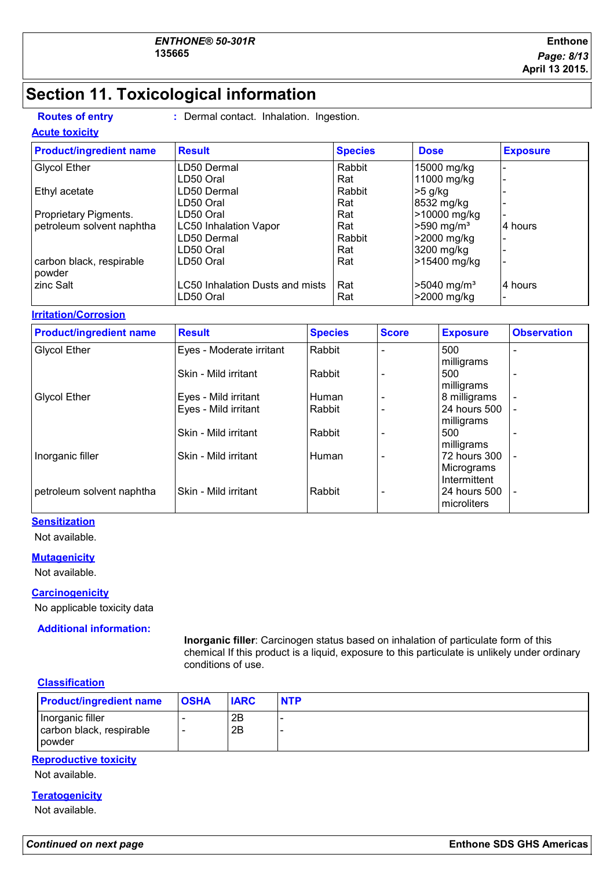### **Section 11. Toxicological information**

**Routes of entry :** Dermal contact. Inhalation. Ingestion.

#### **Acute toxicity**

| <b>Product/ingredient name</b>     | <b>Result</b>                          | <b>Species</b> | <b>Dose</b>               | <b>Exposure</b> |
|------------------------------------|----------------------------------------|----------------|---------------------------|-----------------|
| <b>Glycol Ether</b>                | LD50 Dermal                            | Rabbit         | 15000 mg/kg               |                 |
|                                    | LD50 Oral                              | Rat            | 11000 mg/kg               |                 |
| Ethyl acetate                      | LD50 Dermal                            | Rabbit         | >5 g/kg                   |                 |
|                                    | LD50 Oral                              | Rat            | 8532 mg/kg                |                 |
| Proprietary Pigments.              | LD50 Oral                              | Rat            | >10000 mg/kg              |                 |
| petroleum solvent naphtha          | <b>LC50 Inhalation Vapor</b>           | Rat            | $>590$ mg/m <sup>3</sup>  | 4 hours         |
|                                    | LD50 Dermal                            | Rabbit         | >2000 mg/kg               |                 |
|                                    | LD50 Oral                              | Rat            | 3200 mg/kg                |                 |
| carbon black, respirable<br>powder | LD50 Oral                              | Rat            | >15400 mg/kg              |                 |
| zinc Salt                          | <b>LC50 Inhalation Dusts and mists</b> | Rat            | $>5040$ mg/m <sup>3</sup> | 4 hours         |
|                                    | LD50 Oral                              | Rat            | >2000 mg/kg               |                 |

#### **Irritation/Corrosion**

| <b>Product/ingredient name</b> | <b>Result</b>            | <b>Species</b> | <b>Score</b> | <b>Exposure</b>                             | <b>Observation</b>       |
|--------------------------------|--------------------------|----------------|--------------|---------------------------------------------|--------------------------|
| <b>Glycol Ether</b>            | Eyes - Moderate irritant | Rabbit         |              | 500<br>milligrams                           | ۰                        |
|                                | Skin - Mild irritant     | Rabbit         |              | 500<br>milligrams                           |                          |
| <b>Glycol Ether</b>            | Eyes - Mild irritant     | Human          |              | 8 milligrams                                | $\overline{\phantom{0}}$ |
|                                | Eyes - Mild irritant     | Rabbit         |              | 24 hours 500<br>milligrams                  |                          |
|                                | Skin - Mild irritant     | Rabbit         |              | 500<br>milligrams                           | $\overline{\phantom{0}}$ |
| Inorganic filler               | Skin - Mild irritant     | Human          |              | 172 hours 300<br>Micrograms                 | $\overline{\phantom{0}}$ |
| petroleum solvent naphtha      | Skin - Mild irritant     | Rabbit         |              | Intermittent<br>24 hours 500<br>microliters | $\overline{\phantom{0}}$ |

#### **Sensitization**

Not available.

#### **Mutagenicity**

Not available.

#### **Carcinogenicity**

No applicable toxicity data

**Additional information:**

**Inorganic filler**: Carcinogen status based on inhalation of particulate form of this chemical If this product is a liquid, exposure to this particulate is unlikely under ordinary conditions of use.

#### **Classification**

| <b>Product/ingredient name</b>                                | <b>OSHA</b> | <b>IARC</b> | <b>NTP</b> |
|---------------------------------------------------------------|-------------|-------------|------------|
| Inorganic filler<br>carbon black, respirable<br><b>powder</b> |             | 2B<br>2B    |            |

#### **Reproductive toxicity**

Not available.

### **Teratogenicity**

Not available.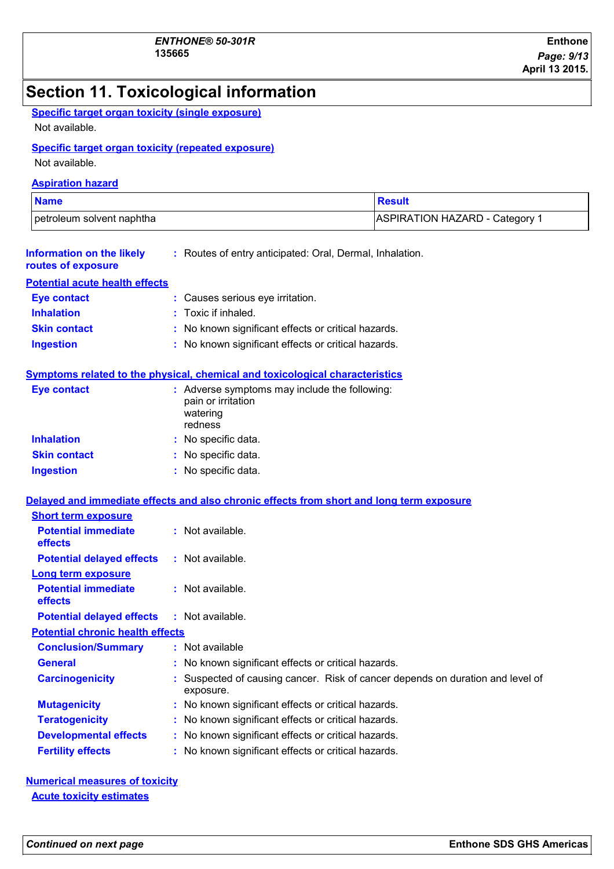### **Section 11. Toxicological information**

| <b>Specific target organ toxicity (single exposure)</b> |  |
|---------------------------------------------------------|--|
| Not available.                                          |  |

#### **Specific target organ toxicity (repeated exposure)**

Not available.

#### **Aspiration hazard**

| <b>Name</b>               | <b>Result</b>                             |
|---------------------------|-------------------------------------------|
| petroleum solvent naphtha | ASPIRATION HAZARD - Category <sup>1</sup> |

| Information on the likely<br>routes of exposure | : Routes of entry anticipated: Oral, Dermal, Inhalation.                     |  |
|-------------------------------------------------|------------------------------------------------------------------------------|--|
| <b>Potential acute health effects</b>           |                                                                              |  |
| <b>Eye contact</b>                              | : Causes serious eye irritation.                                             |  |
| <b>Inhalation</b>                               | : Toxic if inhaled.                                                          |  |
| <b>Skin contact</b>                             | : No known significant effects or critical hazards.                          |  |
| <b>Ingestion</b>                                | : No known significant effects or critical hazards.                          |  |
|                                                 | Symptoms related to the physical, chemical and toxicological characteristics |  |
| <b>Eye contact</b>                              | : Adverse symptoms may include the following:                                |  |

| $\mathbf{v}$        | $\cdot$ , a refered by improving that $\mathbf{y}$ interacted the<br>pain or irritation<br>watering<br>redness |
|---------------------|----------------------------------------------------------------------------------------------------------------|
| <b>Inhalation</b>   | : No specific data.                                                                                            |
| <b>Skin contact</b> | : No specific data.                                                                                            |
| <b>Ingestion</b>    | : No specific data.                                                                                            |

#### **Delayed and immediate effects and also chronic effects from short and long term exposure**

| <b>Short term exposure</b>                   |                                                                                           |
|----------------------------------------------|-------------------------------------------------------------------------------------------|
| <b>Potential immediate</b><br><b>effects</b> | : Not available.                                                                          |
| <b>Potential delayed effects</b>             | : Not available.                                                                          |
| <b>Long term exposure</b>                    |                                                                                           |
| <b>Potential immediate</b><br><b>effects</b> | $:$ Not available.                                                                        |
| <b>Potential delayed effects</b>             | $:$ Not available.                                                                        |
| <b>Potential chronic health effects</b>      |                                                                                           |
| <b>Conclusion/Summary</b>                    | $:$ Not available                                                                         |
| <b>General</b>                               | : No known significant effects or critical hazards.                                       |
| <b>Carcinogenicity</b>                       | Suspected of causing cancer. Risk of cancer depends on duration and level of<br>exposure. |
| <b>Mutagenicity</b>                          | : No known significant effects or critical hazards.                                       |
| <b>Teratogenicity</b>                        | : No known significant effects or critical hazards.                                       |
| <b>Developmental effects</b>                 | : No known significant effects or critical hazards.                                       |
| <b>Fertility effects</b>                     | : No known significant effects or critical hazards.                                       |

**Numerical measures of toxicity Acute toxicity estimates**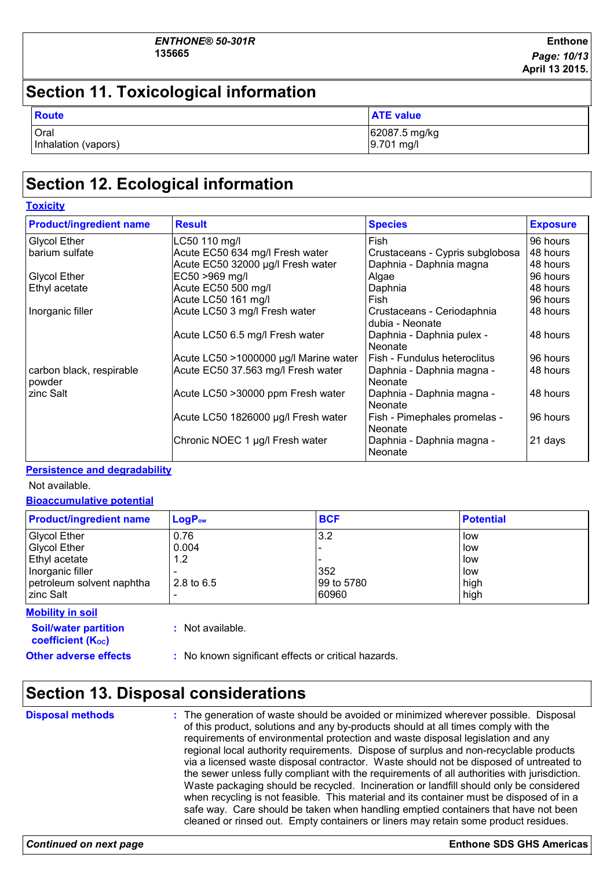### **Section 11. Toxicological information**

| Route               | <b>ATE value</b> |
|---------------------|------------------|
| Oral                | 62087.5 mg/kg    |
| Inhalation (vapors) | 9.701 mg/l       |

### **Section 12. Ecological information**

| <b>Toxicity</b>                    |                                       |                                               |                 |
|------------------------------------|---------------------------------------|-----------------------------------------------|-----------------|
| <b>Product/ingredient name</b>     | <b>Result</b>                         | <b>Species</b>                                | <b>Exposure</b> |
| <b>Glycol Ether</b>                | LC50 110 mg/l                         | Fish                                          | 96 hours        |
| barium sulfate                     | Acute EC50 634 mg/l Fresh water       | Crustaceans - Cypris subglobosa               | 48 hours        |
|                                    | Acute EC50 32000 µg/l Fresh water     | Daphnia - Daphnia magna                       | 48 hours        |
| <b>Glycol Ether</b>                | EC50 >969 mg/l                        | Algae                                         | 96 hours        |
| Ethyl acetate                      | Acute EC50 500 mg/l                   | Daphnia                                       | 48 hours        |
|                                    | Acute LC50 161 mg/l                   | Fish                                          | 96 hours        |
| Inorganic filler                   | Acute LC50 3 mg/l Fresh water         | Crustaceans - Ceriodaphnia<br>dubia - Neonate | 48 hours        |
|                                    | Acute LC50 6.5 mg/l Fresh water       | Daphnia - Daphnia pulex -<br>Neonate          | 48 hours        |
|                                    | Acute LC50 >1000000 µg/l Marine water | Fish - Fundulus heteroclitus                  | 96 hours        |
| carbon black, respirable<br>powder | Acute EC50 37.563 mg/l Fresh water    | Daphnia - Daphnia magna -<br>Neonate          | 48 hours        |
| zinc Salt                          | Acute LC50 > 30000 ppm Fresh water    | Daphnia - Daphnia magna -<br>Neonate          | 48 hours        |
|                                    | Acute LC50 1826000 µg/l Fresh water   | Fish - Pimephales promelas -<br>Neonate       | 96 hours        |
|                                    | Chronic NOEC 1 µg/l Fresh water       | Daphnia - Daphnia magna -<br>Neonate          | 21 days         |

#### **Persistence and degradability**

Not available.

**Bioaccumulative potential**

| <b>Product/ingredient name</b>                                                                               | $LogP_{ow}$                          | <b>BCF</b>               | <b>Potential</b>                 |
|--------------------------------------------------------------------------------------------------------------|--------------------------------------|--------------------------|----------------------------------|
| <b>Glycol Ether</b><br><b>Glycol Ether</b><br>Ethyl acetate<br>Inorganic filler<br>petroleum solvent naphtha | 0.76<br>0.004<br>1.2<br>2.8 to $6.5$ | 3.2<br>352<br>99 to 5780 | low<br>low<br>low<br>low<br>high |
| Izinc Salt<br><b>Mobility in soil</b>                                                                        |                                      | 60960                    | high                             |

**Soil/water partition coefficient** ( $K_{\text{oc}}$ )

**:** Not available.

**Other adverse effects** : No known significant effects or critical hazards.

### **Section 13. Disposal considerations**

The generation of waste should be avoided or minimized wherever possible. Disposal of this product, solutions and any by-products should at all times comply with the requirements of environmental protection and waste disposal legislation and any regional local authority requirements. Dispose of surplus and non-recyclable products via a licensed waste disposal contractor. Waste should not be disposed of untreated to the sewer unless fully compliant with the requirements of all authorities with jurisdiction. Waste packaging should be recycled. Incineration or landfill should only be considered when recycling is not feasible. This material and its container must be disposed of in a safe way. Care should be taken when handling emptied containers that have not been cleaned or rinsed out. Empty containers or liners may retain some product residues. **Disposal methods :**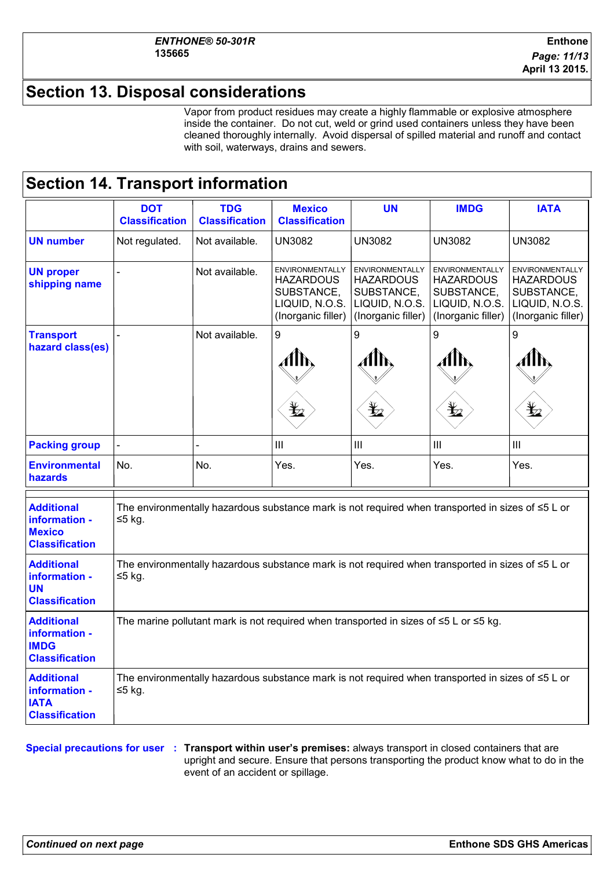### **Section 13. Disposal considerations**

Vapor from product residues may create a highly flammable or explosive atmosphere inside the container. Do not cut, weld or grind used containers unless they have been cleaned thoroughly internally. Avoid dispersal of spilled material and runoff and contact with soil, waterways, drains and sewers.

### **Section 14. Transport information**

|                                                                              | <b>DOT</b>                                                                                                          | <b>TDG</b>            | <b>Mexico</b>                                                                      | UN                                                                                        | <b>IMDG</b>                                                                                      | <b>IATA</b>                                                                                      |
|------------------------------------------------------------------------------|---------------------------------------------------------------------------------------------------------------------|-----------------------|------------------------------------------------------------------------------------|-------------------------------------------------------------------------------------------|--------------------------------------------------------------------------------------------------|--------------------------------------------------------------------------------------------------|
|                                                                              | <b>Classification</b>                                                                                               | <b>Classification</b> | <b>Classification</b>                                                              |                                                                                           |                                                                                                  |                                                                                                  |
| <b>UN number</b>                                                             | Not regulated.                                                                                                      | Not available.        | <b>UN3082</b>                                                                      | <b>UN3082</b>                                                                             | <b>UN3082</b>                                                                                    | <b>UN3082</b>                                                                                    |
| <b>UN proper</b><br>shipping name                                            |                                                                                                                     | Not available.        | ENVIRONMENTALLY<br>HAZARDOUS<br>SUBSTANCE,<br>LIQUID, N.O.S.<br>(Inorganic filler) | ENVIRONMENTALLY<br><b>HAZARDOUS</b><br>SUBSTANCE,<br>LIQUID, N.O.S.<br>(Inorganic filler) | <b>ENVIRONMENTALLY</b><br><b>HAZARDOUS</b><br>SUBSTANCE,<br>LIQUID, N.O.S.<br>(Inorganic filler) | <b>ENVIRONMENTALLY</b><br><b>HAZARDOUS</b><br>SUBSTANCE,<br>LIQUID, N.O.S.<br>(Inorganic filler) |
| <b>Transport</b><br>hazard class(es)                                         |                                                                                                                     | Not available.        | 9<br>$\bigstar$                                                                    | 9<br>Alh<br>₩                                                                             | 9<br>Alħ<br>$\bigstar$                                                                           | 9<br>$\bigstar$                                                                                  |
| <b>Packing group</b>                                                         |                                                                                                                     |                       | $\mathbf{III}$                                                                     | III                                                                                       | III                                                                                              | III                                                                                              |
| <b>Environmental</b><br>hazards                                              | No.                                                                                                                 | No.                   | Yes.                                                                               | Yes.                                                                                      | Yes.                                                                                             | Yes.                                                                                             |
| <b>Additional</b><br>information -<br><b>Mexico</b><br><b>Classification</b> | The environmentally hazardous substance mark is not required when transported in sizes of $\leq 5$ L or<br>$≤5$ kg. |                       |                                                                                    |                                                                                           |                                                                                                  |                                                                                                  |
| <b>Additional</b><br>information -<br><b>UN</b><br><b>Classification</b>     | The environmentally hazardous substance mark is not required when transported in sizes of $\leq 5$ L or<br>$≤5$ kg. |                       |                                                                                    |                                                                                           |                                                                                                  |                                                                                                  |
| <b>Additional</b><br>information -<br><b>IMDG</b><br><b>Classification</b>   | The marine pollutant mark is not required when transported in sizes of $\leq$ 5 L or $\leq$ 5 kg.                   |                       |                                                                                    |                                                                                           |                                                                                                  |                                                                                                  |
| <b>Additional</b><br>information -<br><b>IATA</b><br><b>Classification</b>   | The environmentally hazardous substance mark is not required when transported in sizes of $\leq 5$ L or<br>$≤5$ kg. |                       |                                                                                    |                                                                                           |                                                                                                  |                                                                                                  |

**Special precautions for user Transport within user's premises:** always transport in closed containers that are **:** upright and secure. Ensure that persons transporting the product know what to do in the event of an accident or spillage.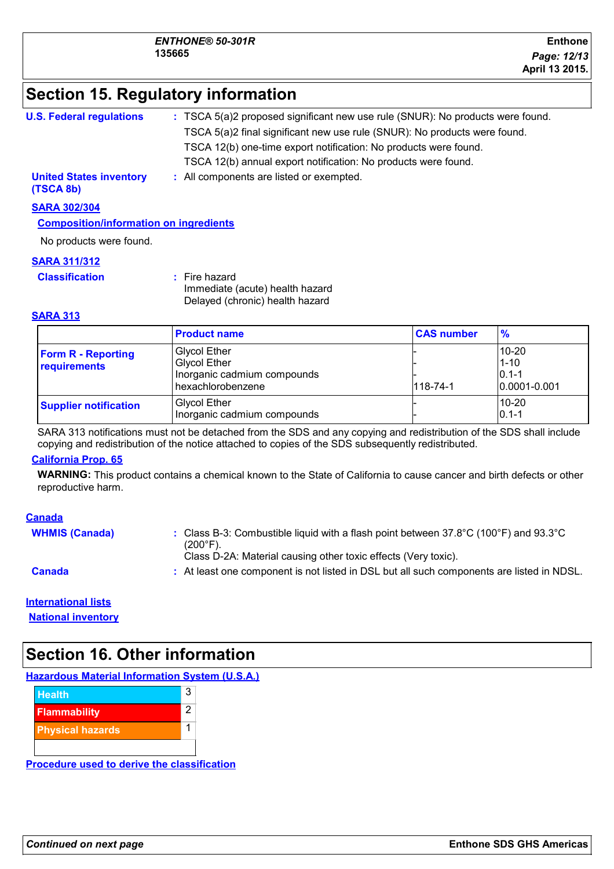### **Section 15. Regulatory information**

| <b>U.S. Federal regulations</b>             | : TSCA 5(a)2 proposed significant new use rule (SNUR): No products were found. |
|---------------------------------------------|--------------------------------------------------------------------------------|
|                                             | TSCA 5(a)2 final significant new use rule (SNUR): No products were found.      |
|                                             | TSCA 12(b) one-time export notification: No products were found.               |
|                                             | TSCA 12(b) annual export notification: No products were found.                 |
| <b>United States inventory</b><br>(TSCA 8b) | : All components are listed or exempted.                                       |
| <b>SARA 302/304</b>                         |                                                                                |

**Composition/information on ingredients**

No products were found.

#### **SARA 311/312**

**Classification :** Fire hazard Immediate (acute) health hazard Delayed (chronic) health hazard

#### **SARA 313**

|                                           | <b>Product name</b>                                                                            | <b>CAS number</b> | $\frac{9}{6}$                                       |
|-------------------------------------------|------------------------------------------------------------------------------------------------|-------------------|-----------------------------------------------------|
| <b>Form R - Reporting</b><br>requirements | <b>Glycol Ether</b><br><b>Glycol Ether</b><br>Inorganic cadmium compounds<br>hexachlorobenzene | $118 - 74 - 1$    | 10-20<br>$1 - 10$<br>$0.1 - 1$<br>$ 0.0001 - 0.001$ |
| <b>Supplier notification</b>              | <b>Glycol Ether</b><br>Inorganic cadmium compounds                                             |                   | $10 - 20$<br>$ 0.1 - 1$                             |

SARA 313 notifications must not be detached from the SDS and any copying and redistribution of the SDS shall include copying and redistribution of the notice attached to copies of the SDS subsequently redistributed.

#### **California Prop. 65**

**WARNING:** This product contains a chemical known to the State of California to cause cancer and birth defects or other reproductive harm.

#### **Canada**

| <b>WHMIS (Canada)</b> | : Class B-3: Combustible liquid with a flash point between $37.8^{\circ}$ C (100 $^{\circ}$ F) and $93.3^{\circ}$ C<br>$(200°F)$ .<br>Class D-2A: Material causing other toxic effects (Very toxic). |
|-----------------------|------------------------------------------------------------------------------------------------------------------------------------------------------------------------------------------------------|
| <b>Canada</b>         | : At least one component is not listed in DSL but all such components are listed in NDSL.                                                                                                            |

### **International lists**

**National inventory**

### **Section 16. Other information**

**Hazardous Material Information System (U.S.A.)**



**Procedure used to derive the classification**